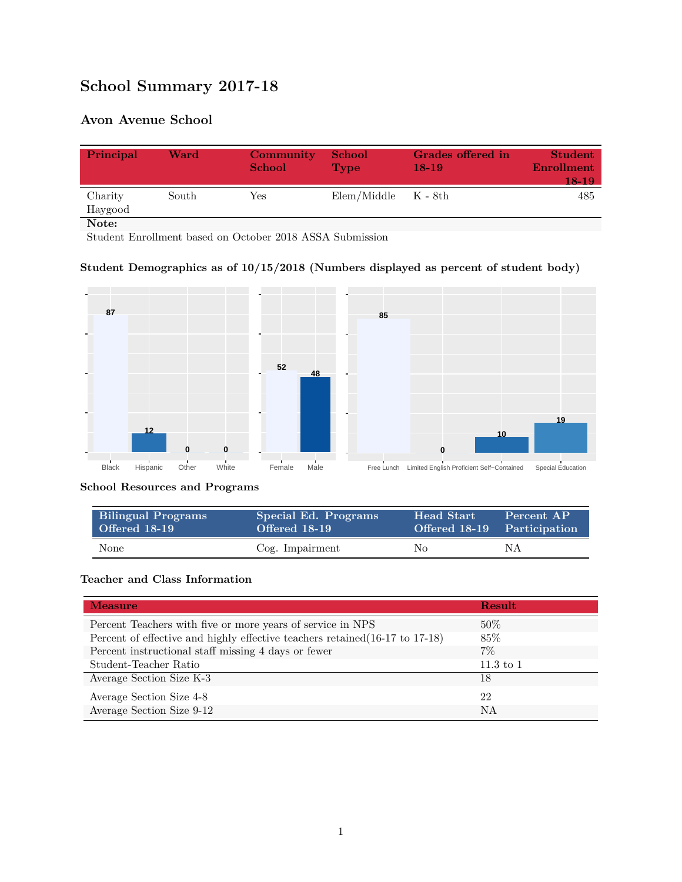# **School Summary 2017-18**

## **Avon Avenue School**

| Principal          | Ward  | Community<br><b>School</b> | <b>School</b><br><b>Type</b> | Grades offered in<br>$18-19$ | <b>Student</b><br><b>Enrollment</b><br>18-19 |
|--------------------|-------|----------------------------|------------------------------|------------------------------|----------------------------------------------|
| Charity<br>Haygood | South | Yes                        | $Elem/Middle$ $K - 8th$      |                              | 485                                          |
| Note:              |       |                            |                              |                              |                                              |

Student Enrollment based on October 2018 ASSA Submission

## **Student Demographics as of 10/15/2018 (Numbers displayed as percent of student body)**



**School Resources and Programs**

| <b>Bilingual Programs</b> | Special Ed. Programs | Head Start' | Percent AP                  |
|---------------------------|----------------------|-------------|-----------------------------|
| Offered 18-19             | Offered 18-19        |             | Offered 18-19 Participation |
| None                      | Cog. Impairment      | No          | NΑ                          |

#### **Teacher and Class Information**

| <b>Measure</b>                                                               | Result      |
|------------------------------------------------------------------------------|-------------|
| Percent Teachers with five or more years of service in NPS                   | $50\%$      |
| Percent of effective and highly effective teachers retained (16-17 to 17-18) | 85\%        |
| Percent instructional staff missing 4 days or fewer                          | $7\%$       |
| Student-Teacher Ratio                                                        | $11.3$ to 1 |
| Average Section Size K-3                                                     | 18          |
| Average Section Size 4-8                                                     | 22          |
| Average Section Size 9-12                                                    | NA          |